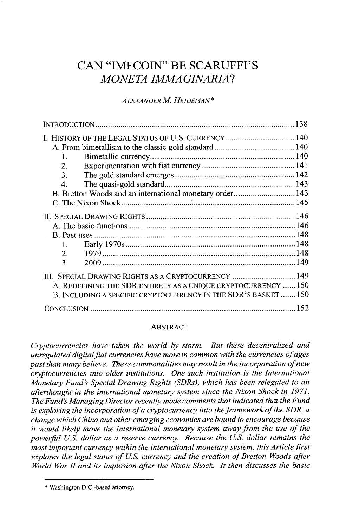# **CAN "IMFCOIN"** BE **SCARUFFI'S** *MONETA IMMAGINARIA?*

# *ALEXANDER M. HEIDEMAN\**

| I. HISTORY OF THE LEGAL STATUS OF U.S. CURRENCY 140             |  |
|-----------------------------------------------------------------|--|
|                                                                 |  |
| 1.                                                              |  |
| 2.                                                              |  |
| 3.                                                              |  |
| 4.                                                              |  |
| B. Bretton Woods and an international monetary order143         |  |
|                                                                 |  |
|                                                                 |  |
|                                                                 |  |
|                                                                 |  |
| 1.11                                                            |  |
| 2.                                                              |  |
| 3.                                                              |  |
| III. SPECIAL DRAWING RIGHTS AS A CRYPTOCURRENCY  149            |  |
| A. REDEFINING THE SDR ENTIRELY AS A UNIQUE CRYPTOCURRENCY  150  |  |
| B. INCLUDING A SPECIFIC CRYPTOCURRENCY IN THE SDR'S BASKET  150 |  |
|                                                                 |  |

## ABSTRACT

*Cryptocurrencies have taken the world by storm. But these decentralized and unregulated digital fiat currencies have more in common with the currencies of ages past than many believe. These commonalities may result in the incorporation ofnew cryptocurrencies into older institutions. One such institution is the International Monetary Fund's Special Drawing Rights (SDRs), which has been relegated to an afterthought in the international monetary system since the Nixon Shock in 1971. The Fund's Managing Director recently made comments that indicated that the Fund is exploring the incorporation of a cryptocurrency into the framework of the SDR, a change which China and other emerging economies are bound to encourage because it would likely move the international monetary system away from the use of the powerful U.S. dollar as a reserve currency. Because the U.S. dollar remains the most important currency within the international monetary system, this Article first explores the legal status of U.S. currency and the creation of Bretton Woods after World War II and its implosion after the Nixon Shock. It then discusses the basic*

**<sup>\*</sup>** Washington D.C.-based attorney.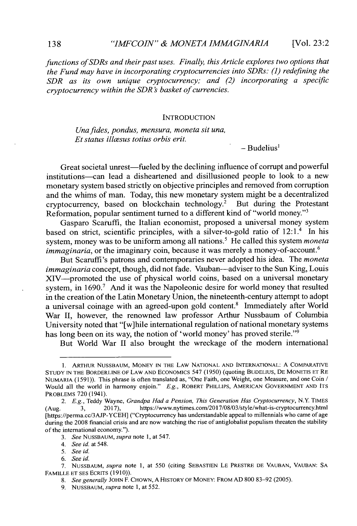*functions ofSDRs and their past uses. Finally, this Article explores two options that the Fund may have in incorporating cryptocurrencies into SDRs: (1) redefining the SDR as its own unique cryptocurrency; and (2) incorporating a specific cryptocurrency within the SDR s basket of currencies.*

#### **INTRODUCTION**

*Unafides, pondus, mensura, moneta sit una, Et status illcesus totius orbis erit.*

**-** Budelius'

Great societal unrest-fueled **by** the declining influence of corrupt and powerful institutions-can lead a disheartened and disillusioned people to look to a new monetary system based strictly on objective principles and removed from corruption and the whims of man. Today, this new monetary system might be a decentralized cryptocurrency, based on blockchain technology.<sup>2</sup> But during the Protestant Reformation, popular sentiment turned to a different kind of "world money."<sup>3</sup>

Gasparo Scaruffi, the Italian economist, proposed a universal money system based on strict, scientific principles, with a silver-to-gold ratio of  $12:1.^4$  In his system, money was to be uniform among all nations.' He called this system *moneta immaginaria*, or the imaginary coin, because it was merely a money-of-account.<sup>6</sup>

But Scaruffi's patrons and contemporaries never adopted his idea. The *moneta immaginaria* concept, though, did not fade. Vauban—adviser to the Sun King, Louis XIV-promoted the use of physical world coins, based on a universal monetary system, in **1690.'** And it was the Napoleonic desire for world money that resulted in the creation of the Latin Monetary Union, the nineteenth-century attempt to adopt a universal coinage with an agreed-upon gold content.<sup>8</sup> Immediately after World War **II,** however, the renowned law professor Arthur Nussbaum of Columbia University noted that "[w]hile international regulation of national monetary systems has long been on its way, the notion of 'world money' has proved sterile."<sup>9</sup>

But World War II also brought the wreckage of the modern international

**<sup>1.</sup> ARTHUR NUSSBAUM, MONEY IN THE LAW NATIONAL AND INTERNATIONAL: A COMPARATIVE STUDY IN THE BORDERLINE OF LAW AND ECONOMICS** 547 **(1950)** (quoting **BUDELILIS, DE MONETIS ET RE NUMARIA** *(1591)).* This phrase is often translated as, "One Faith, one Weight, one Measure, and one Coin Would all the world in harmony enjoin." *E.g.,* **ROBERT PHILLIPS, AMERICAN GOVERNMENT AND ITS PROBLEMS 720** (1941).

<sup>2.</sup> *E.g.*, Teddy Wayne, *Grandpa Had a Pension, This Generation Has Cryptocurrency*, N.Y. TIMES<br>3. 2017), https://www.nytimes.com/2017/08/03/style/what-is-cryptocurrency.html (Aug. **3, 2017),** https://www.nytimes.com/2017/08/03/style/what-is-cryptocurrency.html [https://perma.cc/3AJP-YCEH] ("Cryptocurrency has understandable appeal to millennials who came of age during the 2008 financial crisis and are now watching the rise of antiglobalist populism threaten the stability of the international economy.").

**<sup>3.</sup>** *See NUSSBAUM, supra* note **1,** at 547.

<sup>4.</sup> *See id.* at 548.

*<sup>5.</sup> See id.*

*<sup>6.</sup> See id.*

**<sup>7.</sup> NUSSBAUM,** *supra* note **1,** at **550** (citing **SEBASTIEN LE PRESTRE DE VAUBAN, VAUBAN: SA FAMILLE ET SES ECRITS (1910)).**

*<sup>8.</sup> See generally* **JOHN F. CHOWN, A HISTORY OF MONEY: FROM AD 800 83-92** *(2005).*

**<sup>9.</sup> NUSSBAUM,** *supra* note **1,** at **552.**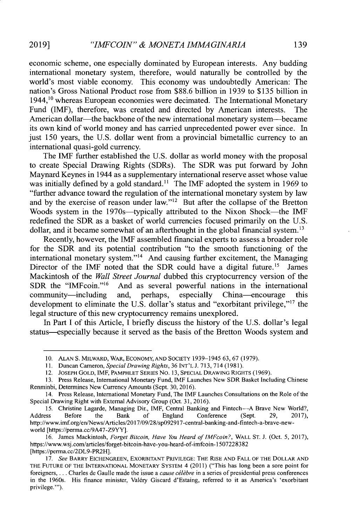economic scheme, one especially dominated **by** European interests. Any budding international monetary system, therefore, would naturally be controlled **by** the world's most viable economy. This economy was undoubtedly American: The nation's Gross National Product rose from **\$88.6** billion **in 1939** to **\$135** billion in  $1944<sup>10</sup>$  whereas European economies were decimated. The International Monetary Fund (IMF), therefore, was created and directed **by** American interests. The American dollar—the backbone of the new international monetary system—became its own kind of world money and has carried unprecedented power ever since. In just **150** years, the **U.S.** dollar went from a provincial bimetallic currency to an international quasi-gold currency.

The IMF further established the **U.S.** dollar as world money with the proposal to create Special Drawing Rights (SDRs). The SDR was put forward **by** John Maynard Keynes in 1944 as a supplementary international reserve asset whose value was initially defined **by** a gold standard." The IMF adopted the system in **1969** to "further advance toward the regulation of the international monetary system **by** law and by the exercise of reason under law."<sup>12</sup> But after the collapse of the Bretton Woods system in the 1970s—typically attributed to the Nixon Shock—the **IMF** redefined the SDR as a basket of world currencies focused primarily on the **U.S.** dollar, and it became somewhat of an afterthought in the global financial system.<sup>13</sup>

Recently, however, the IMF assembled financial experts to assess a broader role for the SDR and its potential contribution "to the smooth functioning of the international monetary system."<sup>14</sup> And causing further excitement, the Managing Director of the IMF noted that the SDR could have a digital future.<sup>15</sup> James Mackintosh of the *Wall Street Journal* dubbed this cryptocurrency version of the SDR the "IMFcoin."<sup>16</sup> And as several powerful nations in the international And as several powerful nations in the international community-including and, perhaps, especially China-encourage this development to eliminate the **U.S.** dollar's status and "exorbitant privilege,"l7 the legal structure of this new cryptocurrency remains unexplored.

In Part **I** of this Article, **I** briefly discuss the history of the **U.S.** dollar's legal status-especially because it served as the basis of the Bretton Woods system and

**<sup>10.</sup> ALAN S.** MILWARD, WAR, ECONOMY, **AND** SOCIETY **1939-1945 63, 67 (1979).**

**<sup>11.</sup>** Duncan Cameron, *Special Drawing Rights,* **36 INT'L J. 713,** 714 **(1981).**

<sup>12.</sup> **JOSEPH GOLD,** IMF, PAMPHLET SERIES NO. **13, SPECIAL DRAWING RIGHTS (1969).**

**<sup>13.</sup>** Press Release, International Monetary Fund, IMF Launches New SDR Basket Including Chinese Renminbi, Determines New Currency Amounts (Sept. **30, 2016).**

<sup>14.</sup> Press Release, International Monetary Fund, The IMF Launches Consultations on the Role of the Special Drawing Right with External Advisory Group (Oct. **31, 2016).**

<sup>15.</sup> Christine Lagarde, Managing Dir., IMF, Central Banking and Fintech-A Brave New World?,<br>Address Before the Bank of England Conference (Sept. 29, 2017), Address Before the Bank **of** England Conference (Sept. **29, 2017),** http://www.imf.org/en/News/Articles/2017/09/28/sp092917-central-banking-and-fintech-a-brave-newworld [https://perma.cc/9A47-Z9YY].

**<sup>16.</sup>** James Mackintosh, *Forget Bitcoin, Have You Heard of IMFcoin?,* WALL **ST. J.** (Oct. **5, 2017),** https://www.wsj.com/articles/forget-bitcoin-have-you-heard-of-imfcoin-1507228382 [https://perma.cc/2DL9-PR2H].

*<sup>17.</sup> See* BARRY **EICHENGREEN,** EXORBITANT PRIVILEGE: THE RISE **AND** FALL OF THE DOLLAR **AND** THE **FUTURE** OF **THE INTERNATIONAL** MONETARY SYSTEM 4 (2011) ("This has long been a sore point for foreigners,... Charles de Gaulle made the issue a *cause célèbre* in a series of presidential press conferences in the 1960s. His finance minister, Valdry Giscard d'Estaing, referred to it as America's 'exorbitant privilege."').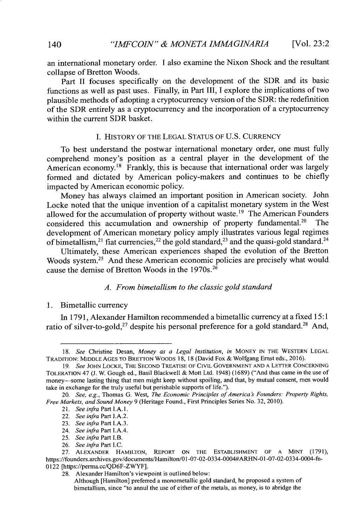an international monetary order. **I** also examine the Nixon Shock and the resultant collapse of Bretton Woods.

Part II focuses specifically on the development of the SDR and its basic functions as well as past uses. Finally, **in** Part III, I explore the implications of two plausible methods of adopting a cryptocurrency version of the SDR: the redefinition of the SDR entirely as a cryptocurrency and the incorporation of a cryptocurrency within the current SDR basket.

#### **I.** HISTORY OF THE **LEGAL STATUS** OF **U.S.** CURRENCY

To best understand the postwar international monetary order, one must **fully** comprehend money's position as a central player in the development of the American economy.<sup>18</sup> Frankly, this is because that international order was largely formed and dictated **by** American policy-makers and continues to be chiefly impacted **by** American economic policy.

Money has always claimed an important position in American society. John Locke noted that the unique invention of a capitalist monetary system in the West allowed for the accumulation of property without waste.<sup>19</sup> The American Founders considered this accumulation and ownership of property fundamental.<sup>20</sup> The considered this accumulation and ownership of property fundamental.<sup>20</sup> development of American monetary policy amply illustrates various legal regimes of bimetallism,<sup>21</sup> fiat currencies,<sup>22</sup> the gold standard,<sup>23</sup> and the quasi-gold standard.<sup>24</sup>

Ultimately, these American experiences shaped the evolution of the Bretton Woods system.<sup>25</sup> And these American economic policies are precisely what would cause the demise of Bretton Woods in the 1970s.<sup>26</sup>

## *A. From bimetallism to the classic gold standard*

#### **1.** Bimetallic currency

In **1791,** Alexander Hamilton recommended a bimetallic currency at a fixed **15:1** ratio of silver-to-gold,<sup>27</sup> despite his personal preference for a gold standard.<sup>28</sup> And,

- 24. *See infra* Part I.A.4.
- *25. See infra Part I.B.*
- **26.** *See infra* Part **I.C.**

**28.** Alexander Hamilton's viewpoint is outlined below:

*<sup>18.</sup> See* Christine Desan, *Money as a Legal Institution, in* **MONEY IN THE WESTERN LEGAL TRADITION: MIDDLE AGES TO BRETTON WOODS 18, 18** (David Fox **&** Wolfgang Ernst eds., **2016).**

*<sup>19.</sup> See* **JOHN LOCKE, THE SECOND TREATISE OF CIVIL GOVERNMENT AND A LETTER CONCERNING TOLERATION** *47* **(J.** W. Gough ed., Basil Blackwell **&** Mott Ltd. 1948) **(1689)** ("And thus came in the use of money-some lasting thing that men might keep without spoiling, and that, **by** mutual consent, men would take in exchange for the truly useful but perishable supports of life.").

*<sup>20.</sup> See, e.g.,* Thomas **G.** West, *The Economic Principles of America's Founders: Property Rights, Free Markets, and Sound Money* **9** (Heritage Found., First Principles Series No. **32, 2010).**

<sup>21.</sup> *See infra* Part **I.A.1.**

<sup>22.</sup> *See infra* Part **J.A.2.**

**<sup>23.</sup>** *See infra* Part **I.A.3.**

**<sup>27.</sup> ALEXANDER HAMILTON, REPORT ON THE ESTABLISHMENT OF A MINT (1791),** https://founders.archives.gov/documents/Hamilton/01-07-02-0334-0004#ARHN-01-07-02-0334-0004-fn-0122 [https://perma.cc/QD6F-ZWYF].

Although [Hamilton] preferred a monometallic gold standard, he proposed a system of bimetallism, since "to annul the use of either of the metals, as money, is to abridge the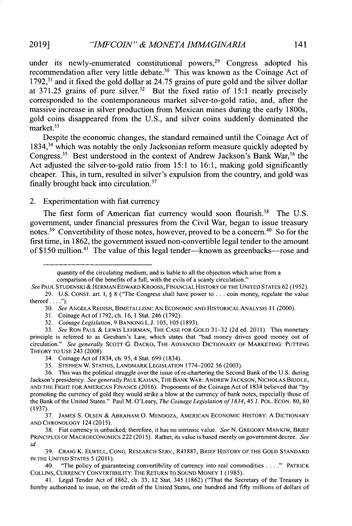under its newly-enumerated constitutional powers,<sup>29</sup> Congress adopted his recommendation after very little debate.<sup>30</sup> This was known as the Coinage Act of **1792,31** and it fixed the gold dollar at *24.75* grains of pure gold and the silver dollar at  $371.25$  grains of pure silver.<sup>32</sup> But the fixed ratio of 15:1 nearly precisely corresponded to the contemporaneous market silver-to-gold ratio, and, after the massive increase in silver production from Mexican mines during the early 1800s, gold coins disappeared from the **U.S.,** and silver coins suddenly dominated the market.<sup>33</sup>

Despite the economic changes, the standard remained until the Coinage Act of 1834,34 which was notably the only Jacksonian reform measure quickly adopted **by** Congress.<sup>35</sup> Best understood in the context of Andrew Jackson's Bank War,<sup>36</sup> the Act adjusted the silver-to-gold ratio from **15:1** to **16:1,** making gold significantly cheaper. This, in turn, resulted in silver's expulsion from the country, and gold was finally brought back into circulation.<sup>37</sup>

## 2. Experimentation with fiat currency

The first form of American fiat currency would soon flourish.<sup>38</sup> The U.S. government, under financial pressures from the Civil War, began to issue treasury notes.<sup>39</sup> Convertibility of those notes, however, proved to be a concern.<sup>40</sup> So for the first time, in **1862,** the government issued non-convertible legal tender to the amount of \$150 million.<sup>41</sup> The value of this legal tender—known as greenbacks—rose and

41. Legal Tender Act of **1862,** ch. **33,** 12 Stat. 345 **(1862)** ("That the Secretary of the Treasury is hereby authorized to issue, on the credit of the United States, one hundred and **fifty** millions of dollars of

quantity of the circulating medium; and is liable to all the objection which arise from a comparison of the benefits of a full, with the evils of a scanty circulation."

*See* **PAUL STUDENSKI & HERMAN** EDWARD KROOSS, FINANCIAL HISTORY OF THE **UNITED** STATES **62 (1952). 29. U.S. CONST.** art. **I, § 8** ("The Congress shall have power to **. . .** coin money, regulate the value thereof.. **. .").**

*<sup>30.</sup> See* **ANGELA** REDISH, BIMETALLISM: **AN** ECONOMIC **AND** HISTORICAL ANALYSIS **11** (2000).

**<sup>31.</sup>** Coinage Act of **1792,** ch. **16, 1** Stat. 246 **(1792).**

**<sup>32.</sup>** *Coinage Legislation, 9* BANKING **L.J.** *105, 105* **(1893).**

**<sup>33.</sup>** *See* RON **PAUL &** LEWIS LEHRMAN, THE **CASE** FOR **GOLD 31-32 (2d** ed. **2011).** This monetary principle is referred to as Gresham's Law, which states that "bad money drives good money out of circulation." *See generally* Scorr **G.** DACKO, THE **ADVANCED** DICTIONARY OF MARKETING: **PUTTING** THEORY TO **USE** 243 **(2008).**

<sup>34.</sup> Coinage Act of 1834, ch. **95,** 4 Stat. **699** (1834).

**<sup>35.</sup> STEPHEN** W. **STATHIS,** LANDMARK **LEGISLATION 1774-2002 56 (2003).**

**<sup>36.</sup>** This was the political struggle over the issue of re-chartering the Second Bank of the **U.S.** during Jackson's presidency. *See generally* **PAUL KAHAN,** THE BANK WAR: **ANDREW JACKSON,** NICHOLAS BIDDLE, **AND** THE **FIGHT** FOR AMERICAN **FINANCE (2016).** Proponents of the Coinage Act of 1834 believed that **"by** promoting the currency of gold they would strike a blow at the currency of bank notes, especially those of the Bank of the United States." Paul M. O'Leary, *The Coinage Legislation of 1834,45* **J.** POL. ECON. **80, 80 (1937).**

**<sup>37.</sup> JAMES S. OLSEN &** ABRAHAM **0. MENDOZA, AMERICAN** ECONOMIC HISTORY: **A** DICTIONARY **AND CHRONOLOGY** 124 **(2015).**

**<sup>38.</sup>** Fiat currency is unbacked; therefore, it has no intrinsic value. *See* **N.** GREGORY MANKW, BRIEF PRINCIPLES OF MACROECONOMICS 222 **(2015).** Rather, its value is based merely on government decree. *See id.*

**<sup>39.</sup> CRAIG** K. ELWELL, **CONG.** RESEARCH SERV., R41887, BRIEF HISTORY OF THE **GOLD STANDARD IN** THE **UNITED** STATES **5 (2011).**

<sup>40. &</sup>quot;The policy of guaranteeing convertibility of currency into real commodities **. . . ."** PATRICK **COLLINS,** CURRENCY CONVERTIBILITY: THE RETURN TO **SoUND** MONEY 1 **(1985).**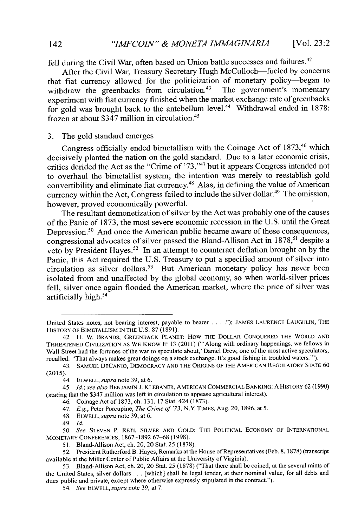fell during the Civil War, often based on Union battle successes and failures.<sup>42</sup>

After the Civil War, Treasury Secretary Hugh McCulloch-fueled **by** concerns that fiat currency allowed for the politicization of monetary policy-began to withdraw the greenbacks from circulation.<sup>43</sup> The government's momentary experiment with fiat currency finished when the market exchange rate of greenbacks for gold was brought back to the antebellum level.<sup>44</sup> Withdrawal ended in 1878: frozen at about \$347 million in circulation.45

#### **3.** The gold standard emerges

Congress officially ended bimetallism with the Coinage Act of **1873,46** which decisively planted the nation on the gold standard. Due to a later economic crisis, critics derided the Act as the "Crime of **'73,"47** but it appears Congress intended not to overhaul the bimetallist system; the intention was merely to reestablish gold convertibility and eliminate fiat currency.<sup>48</sup> Alas, in defining the value of American currency within the Act, Congress failed to include the silver dollar.<sup>49</sup> The omission, however, proved economically powerful.

The resultant demonetization of silver **by** the Act was probably one of the causes of the Panic of **1873,** the most severe economic recession in the **U.S.** until the Great Depression.<sup>50</sup> And once the American public became aware of these consequences, congressional advocates of silver passed the Bland-Allison Act in **1878,"** despite a veto by President Hayes.<sup>52</sup> In an attempt to counteract deflation brought on by the Panic, this Act required the **U.S.** Treasury to put a specified amount of silver into circulation as silver dollars.<sup>53</sup> But American monetary policy has never been isolated from and unaffected **by** the global economy, so when world-silver prices fell, silver once again flooded the American market, where the price of silver was artificially high.<sup>54</sup>

United States notes, not bearing interest, payable to bearer . . . ."); JAMES LAURENCE LAUGHLIN, THE HISTORY OF BIMETALLISM **IN** THE **U.S. 87 (1891).**

<sup>42.</sup> H. W. BRANDS, GREENBACK **PLANET:** How THE DOLLAR **CONQUERED** THE WORLD **AND THREATENED CIVILIZATION AS** WE KNOW IT **13** (2011) ("'Along with ordinary happenings, we fellows in Wall Street had the fortunes of the war to speculate about,' Daniel Drew, one of the most active speculators, recalled. 'That always makes great doings on a stock exchange. It's good fishing in troubled waters."').

<sup>43.</sup> **SAMUEL** DECANIO, DEMOCRACY **AND** THE **ORIGINS** OF THE **AMERICAN** REGULATORY **STATE 60 (2015).**

<sup>44.</sup> ELWELL, *supra* note **39,** at **6.**

*<sup>45.</sup> Id.; see also* **BENJAMIN J.** KLEBANER, **AMERICAN** COMMERCIAL BANKING: A HISTORY **62 (1990)** (stating that the \$347 million was left in circulation to appease agricultural interest).

<sup>46.</sup> Coinage Act of **1873,** ch. **131, 17** Stat. 424 **(1873).**

<sup>47.</sup> *E.g.,* Peter Porcupine, *The Crime of '73,* N.Y. TIMES, Aug. **20, 1896,** at **5.**

<sup>48.</sup> ELWELL, *supra* note **39,** at **6.**

<sup>49.</sup> *Id.*

*<sup>50.</sup> See* **STEVEN** P. RETI, SILVER **AND GOLD:** THE POLITICAL ECONOMY OF **INTERNATIONAL** MONETARY **CONFERENCES, 1867-1892 67-68 (1998).**

*<sup>51.</sup>* Bland-Allison Act, ch. 20, 20 Stat. **25 (1878).**

**<sup>52.</sup>** President Rutherford B. Hayes, Remarks at the House of Representatives (Feb. **8, 1878)** (transcript available at the Miller Center of Public Affairs at the University of Virginia).

*<sup>53.</sup>* Bland-Allison Act, ch. 20, 20 Stat. **25 (1878)** ("That there shall **be** coined, at the several mints of the United States, silver dollars **.** . **.** [which] shall be legal tender, at their nominal value, for all debts and dues public and private, except where otherwise expressly stipulated in the contract.").

*<sup>54.</sup> See ELWELL, supra* note **39,** at **7.**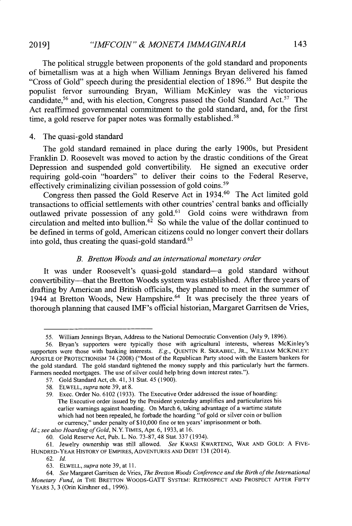The political struggle between proponents of the gold standard and proponents of bimetallism was at a high when William Jennings Bryan delivered his famed "Cross of Gold" speech during the presidential election of **1896."** But despite the populist fervor surrounding Bryan, William McKinley was the victorious candidate,  $56$  and, with his election, Congress passed the Gold Standard Act.  $57$  The Act reaffirmed governmental commitment to the gold standard, and, for the first time, a gold reserve for paper notes was formally established.<sup>58</sup>

## 4. The quasi-gold standard

The gold standard remained in place during the early 1900s, but President Franklin **D.** Roosevelt was moved to action **by** the drastic conditions of the Great Depression and suspended gold convertibility. He signed an executive order requiring gold-coin "hoarders" to deliver their coins to the Federal Reserve, effectively criminalizing civilian possession of gold coins.<sup>59</sup>

Congress then passed the Gold Reserve Act **in** 1934.60 The Act limited gold transactions to official settlements with other countries' central banks and officially outlawed private possession of any gold.<sup>61</sup> Gold coins were withdrawn from circulation and melted into bullion.<sup>62</sup> So while the value of the dollar continued to be defined in terms of gold, American citizens could no longer convert their dollars into gold, thus creating the quasi-gold standard. $63$ 

## *B. Bretton Woods and an international monetary order*

It was under Roosevelt's quasi-gold standard-a gold standard without convertibility-that the Bretton Woods system was established. After three years of drafting **by** American and British officials, they planned to meet in the summer of 1944 at Bretton Woods, New Hampshire. $64$  It was precisely the three years of thorough planning that caused IMF's official historian, Margaret Garritsen de Vries,

*Id.; see also Hoarding of Gold, N.Y.* TIMES, Apr. **6, 1933,** at **16.**

**63.** ELWELL, *supra* note **39,** at **11.**

*<sup>55.</sup>* William Jennings Bryan, Address to the National Democratic Convention (July **9, 1896).**

*<sup>56.</sup>* Bryan's supporters were typically those with agricultural interests, whereas McKinley's supporters were those with banking interests. **E.g.,** QUENTIN R. SKRABEC, JR., WLLIAM MCKINLEY: APOSTLE OF PROTECTIONISM *74* **(2008)** ("Most of the Republican Party stood with the Eastern bankers for the gold standard. The gold standard tightened the money supply and this particularly hurt the farmers. Farmers needed mortgages. The use of silver could help bring down interest rates.").

**<sup>57.</sup>** Gold Standard Act, ch. 41, **31** Stat. 45 **(1900).**

**<sup>58.</sup>** ELWELL, *supra* note **39,** at **8.**

**<sup>59.</sup>** Exec. Order No. **6102 (1933).** The Executive Order addressed the issue of hoarding: The Executive order issued **by** the President yesterday amplifies and particularizes his earlier warnings against hoarding. On March **6,** taking advantage of a wartime statute which had not been repealed, he forbade the hoarding "of gold or silver coin or bullion or currency," under penalty of **\$10,000** fine or ten years' imprisonment or both.

**<sup>60.</sup>** Gold Reserve Act, Pub. L. No. **73-87,** 48 Stat. **337** (1934).

**<sup>61.</sup>** Jewelry ownership was still allowed. *See* KwASI KWARTENG, WAR **AND GOLD: A** FIVE-HUNDRED-YEAR HISTORY OF EMPIRES, ADVENTURES **AND** DEBT **131** (2014).

**<sup>62.</sup>** *Id.*

*<sup>64.</sup> See* Margaret Garritsen **de** Vries, *The Bretton Woods Conference and the Birth ofthe International Monetary Fund, in* **THfE** BRETTON WOODS-GATT SYSTEM: RETROSPECT **AND** PROSPECT AFTER FlFTY YEARS **3, 3** (Orin Kirshner ed., **1996).**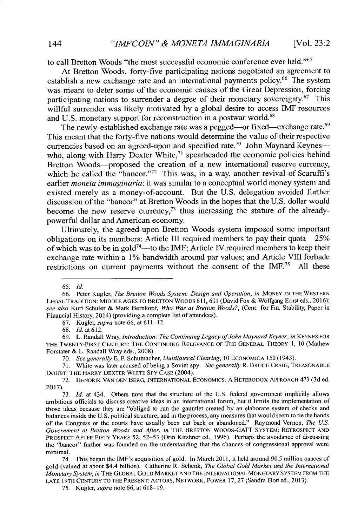to call Bretton Woods "the most successful economic conference ever held."<sup>65</sup>

At Bretton Woods, forty-five participating nations negotiated an agreement to establish a new exchange rate and an international payments policy.<sup>66</sup> The system was meant to deter some of the economic causes of the Great Depression, forcing participating nations to surrender a degree of their monetary sovereignty.<sup>67</sup> This willful surrender was likely motivated **by** a global desire to access **IMF** resources and U.S. monetary support for reconstruction in a postwar world.<sup>68</sup>

The newly-established exchange rate was a pegged—or fixed—exchange rate.<sup>69</sup> This meant that the forty-five nations would determine the value of their respective currencies based on an agreed-upon and specified rate.<sup>70</sup> John Maynard Keynes-who, along with Harry Dexter White, $7<sup>1</sup>$  spearheaded the economic policies behind Bretton Woods-proposed the creation of a new international reserve currency, which he called the "bancor."<sup>72</sup> This was, in a way, another revival of Scaruffi's earlier *moneta immaginaria:* it was similar to a conceptual world money system and existed merely as a money-of-account. But the **U.S.** delegation avoided further discussion of the "bancor" at Bretton Woods in the hopes that the **U.S.** dollar would become the new reserve currency,<sup>73</sup> thus increasing the stature of the alreadypowerful dollar and American economy.

Ultimately, the agreed-upon Bretton Woods system imposed some important obligations on its members: Article **III** required members to pay their quota-25% of which was to be in gold<sup>74</sup>—to the IMF; Article IV required members to keep their exchange rate within a **1%** bandwidth around par values; and Article **VIII** forbade restrictions on current payments without the consent of the *IMF.75* **All** these

*<sup>65.</sup> Id.*

**<sup>66.</sup>** Peter Kugler, *The Bretton Woods System: Design and Operation, in* MONEY **IN** THE WESTERN **LEGAL** TRADITION: MIDDLE **AGES** TO BRETTON WOODS **611, 611** (David Fox **&** Wolfgang Ernst eds., **2016);** *see also* Kurt Schuler **&** Mark Bernkopf, *Who Was at Bretton Woods?,* (Cent. for Fin. Stability, Paper in Financial History, 2014) (providing a complete list of attendees).

**<sup>67.</sup>** Kugler, *supra* note **66,** at **611-12.**

**<sup>68.</sup> Id.** at **612.**

**<sup>69.</sup>** L. Randall Wray, *Introduction: The Continuing Legacy ofJohn Maynard Keynes, in* **KEYNES** FOR THE TWENTY-FIRST CENTURY: THE **CONTINUING RELEVANCE** OF THE **GENERAL** THEORY **1, 10** (Mathew Forstater **&** L. Randall Wray eds., **2008).**

*<sup>70.</sup> See generally* **E.** F. Schumacher, *Multilateral Clearing, 10* **ECONOMICA 150** (1943).

**<sup>71.</sup>** White was later accused of being a Soviet spy. *See generally* R. BRUCE CRAIG, **TREASONABLE DOUBT:** THE HARRY DEXTER WHITE SPY **CASE** (2004).

**<sup>72.</sup>** HENDRIK **VAN DEN** BERG, **INTERNATIONAL ECONOMICS:** A HETERODOX APPROACH 473 **(3d** ed. **2017).**

**<sup>73.</sup>** *Id.* at 434. Others note that the structure of the **U.S.** federal government implicitly allows ambitious officials to discuss creative ideas in an international forum, but it limits the implementation of those ideas because they are "obliged to run the gauntlet created **by** an elaborate system of checks and balances inside the **U.S.** political structure; and in the process, any measures that would seem to tie the hands of the Congress or the courts have usually been cut back or abandoned." Raymond Vernon, *The U.S. Government at Bretton Woods and After, in* THE BRETTON WOODS-GATT SYSTEM: RETROSPECT **AND** PROSPECT AFTER FIFTY YEARS **52,** *52-53* (Orin Kirshner ed., **1996).** Perhaps the avoidance of discussing the "bancor" further was founded on the understanding that the chances of congressional approval were minimal.

<sup>74.</sup> This began the IMF's acquisition of gold. In March **2011,** it held around *90.5* million ounces of gold (valued at about \$4.4 billion). Catherine R. Schenk, *The Global Gold Market and the International Monetary System, in* THE GLOBAL **GOLD** MARKET **AND THE INTERNATIONAL** MONETARY SYSTEM FROM THE **LATE** 19TH **CENTURY** TO **THE PRESENT:** ACTORS, NETWORK, POWER **17, 27** (Sandra Bott ed., **2013).**

**<sup>75.</sup>** Kugler, *supra* note **66,** at **618-19.**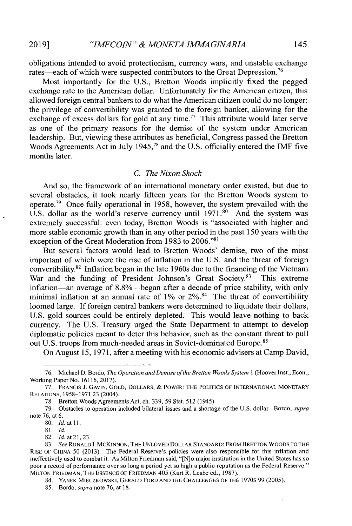obligations intended to avoid protectionism, currency wars, and unstable exchange rates—each of which were suspected contributors to the Great Depression.<sup>76</sup>

Most importantly for the **U.S.,** Bretton Woods implicitly fixed the pegged exchange rate to the American dollar. Unfortunately for the American citizen, this allowed foreign central bankers to do what the American citizen could do no longer: the privilege of convertibility was granted to the foreign banker, allowing for the exchange of excess dollars for gold at any time.<sup>77</sup> This attribute would later serve as one of the primary reasons for the demise of the system under American leadership. But, viewing these attributes as beneficial, Congress passed the Bretton Woods Agreements Act in July *1945,* and the **U.S.** officially entered the IMF five months later.

#### *C. The Nixon Shock*

And so, the framework of an international monetary order existed, but due to several obstacles, it took nearly fifteen years for the Bretton Woods system to operate.<sup>79</sup> Once fully operational in 1958, however, the system prevailed with the U.S. dollar as the world's reserve currency until  $1971$ .<sup>80</sup> And the system was extremely successful: even today, Bretton Woods is "associated with higher and more stable economic growth than in any other period in the past **150** years with the exception of the Great Moderation from **1983** to **2006.""**

But several factors would lead to Bretton Woods' demise, two of the most important of which were the rise of inflation in the **U.S.** and the threat of foreign convertibility.<sup>82</sup> Inflation began in the late 1960s due to the financing of the Vietnam War and the funding of President Johnson's Great Society.<sup>83</sup> This extreme inflation-an average of 8.8%-began after a decade of price stability, with only minimal inflation at an annual rate of 1% or 2%.<sup>84</sup> The threat of convertibility loomed large. **If** foreign central bankers were determined to liquidate their dollars, **U.S.** gold sources could be entirely depleted. This would leave nothing to back currency. The **U.S.** Treasury urged the State Department to attempt to develop diplomatic policies meant to deter this behavior, such as the constant threat to pull out U.S. troops from much-needed areas in Soviet-dominated Europe.<sup>85</sup>

On August **15, 1971,** after a meeting with his economic advisers at Camp David,

**<sup>76.</sup>** Michael **D.** Bordo, *The Operation and Demise ofthe Bretton Woods System* 1 (Hoover Inst., Econ., Working Paper No. **16116, 2017).**

**<sup>77.</sup> FRANCIS J.** GAVIN, **GOLD,** DOLLARS, **&** POWER: THE **POLITICS** OF **INTERNATIONAL** MONETARY **RELATIONS, 1958-1971 23** (2004).

**<sup>78.</sup>** Bretton Woods Agreements Act, ch. **339, 59** Stat. **512** (1945).

**<sup>79.</sup>** Obstacles to operation included bilateral issues and a shortage of the **U.S.** dollar. *Bordo, supra* note **76,** at **6.**

**<sup>80.</sup>** *Id. at* 11.

**<sup>8 1.</sup>** *Id.*

**<sup>82.</sup> Id.** at 21, **23.**

*<sup>83.</sup> See* RONALD1. MCKINNON, THE **UNLOVED** DOLLAR **STANDARD:** FROM BRETTON WOODS TO THE RISE OF **CHINA 50 (2013).** The Federal Reserve's policies were also responsible for this inflation and ineffectively used to combat it. As Milton Friedman said, "[N]o major **institution in** the United States has so poor a record of performance over so long a period yet so high a public reputation as the Federal Reserve." **MILTON** FRIEDMAN, THE ESSENCE OF FRIEDMAN *405* (Kurt R. Leube ed., **1987).**

<sup>84.</sup> YANEK MIECZKOwSKI, GERALD FORD **AND** THE **CHALLENGES** OF **THE** 1970s **99 (2005).**

**<sup>85.</sup>** Bordo, *supra* note **76,** at **18.**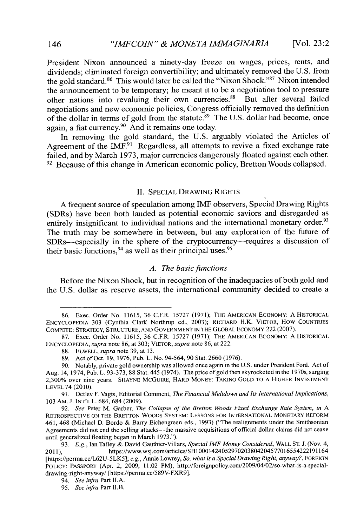President Nixon announced a ninety-day freeze on wages, prices, rents, and dividends; eliminated foreign convertibility; and ultimately removed the **U.S.** from the gold standard.<sup>86</sup> This would later be called the "Nixon Shock."<sup>87</sup> Nixon intended the announcement to be temporary; he meant it to be a negotiation tool to pressure other nations into revaluing their own currencies.<sup>88</sup> But after several failed negotiations and new economic policies, Congress officially removed the definition of the dollar in terms of gold from the statute.<sup>8</sup>9 The **U.S.** dollar had become, once again, a fiat currency.90 And it remains one today.

In removing the gold standard, the **U.S.** arguably violated the Articles of Agreement of the  $IMF<sub>1</sub><sup>91</sup>$  Regardless, all attempts to revive a fixed exchange rate failed, and **by** March **1973,** major currencies dangerously floated against each other.  $92$  Because of this change in American economic policy, Bretton Woods collapsed.

## **II. SPECIAL** DRAWING **RIGHTS**

**A** frequent source of speculation among IMIF observers, Special Drawing Rights (SDRs) have been both lauded as potential economic saviors and disregarded as entirely insignificant to individual nations and the international monetary order.<sup>93</sup> The truth may be somewhere in between, but any exploration of the future of SDRs—especially in the sphere of the cryptocurrency—requires a discussion of their basic functions,  $94$  as well as their principal uses.  $95$ 

## *A. The basic functions*

Before the Nixon Shock, but in recognition of the inadequacies of both gold and the **U.S.** dollar as reserve assets, the international community decided to create a

**91.** Detlev F. Vagts, Editorial Comment, *The Financial Meltdown and Its International Implications,* **103** AM. **J. INT'L** L. 684, 684 **(2009).**

*92. See* Peter M. Garber, *The Collapse of the Bretton Woods Fixed Exchange Rate System, in <sup>A</sup>* RETROSPECTIVE **ON** THE BRETTON WOODS SYSTEM: **LESSONS** FOR INTERNATIONAL MONETARY REFORM 461, 468 (Michael **D.** Bordo **&** Barry Eichengreen eds., **1993)** ("The realignments under the Smithsonian Agreements did not end the selling attacks—the massive acquisitions of official dollar claims did not cease until generalized floating began in March **1973.").**

93. *E.g.*, Ian Talley & David Gauthier-Villars, *Special IMF Money Considered*, WALL ST. J. (Nov. 4, 2011), https://www.wsj.com/articles/SB10001424052970203804204577016554222191164 https://www.wsj.com/articles/SB10001424052970203804204577016554222191164 [https://perma.cc/L62U-5LK5]; *e.g.,* Annie Lowrey, *So, what is a Special Drawing Right, anyway?,* FOREIGN POLICY: PASSPORT (Apr. 2, **2009,** 11:02 PM), http://foreignpolicy.com/2009/04/02/so-what-is-a-specialdrawing-right-anyway/ [https://perma.cc/589V-FXR9].

**<sup>86.</sup>** Exec. Order No. **11615, 36** C.F.R. *15727* **(1971);** THE **AMERICAN** ECONOMY: **A** HISTORICAL **ENCYCLOPEDIA 303** (Cynthia Clark Northrup **ed., 2003); RICHARD** H.K. VIETOR, How COUNTRIES **COMPETE:** STRATEGY, **STRUCTURE, AND GOVERNMENT IN** THE GLOBAL **ECONOMY** 222 **(2007).**

**<sup>87.</sup>** Exec. Order No. **11615, 36** C.F.R. **15727 (1971);** THE **AMERICAN** ECONOMY: **A** HISTORICAL **ENCYCLOPEDIA,** *supra* note **86,** at **303;** VIETOR, *supra* note **86,** at 222.

**<sup>88.</sup>** ELWELL, *supra* note **39,** at **13.**

**<sup>89.</sup>** Act of Oct. **19, 1976,** Pub. L. No. 94-564, **90** Stat. **2660 (1976).**

**<sup>90.</sup>** Notably, private gold ownership was allowed once again in the **U.S.** under President Ford. Act of Aug. 14, 1974, Pub. L. **93-373, 88** Stat. 445 (1974). The price of gold then skyrocketed in the **I** 970s, surging **2,300%** over nine years. SHAYNE MCGUIRE, HARD MONEY: **TAKING GOLD** TO **A** HIGHER INVESTMENT LEVEL 74 (2010).

<sup>94.</sup> *See infra* Part **II.A.**

*<sup>95.</sup> See infra* Part II.B.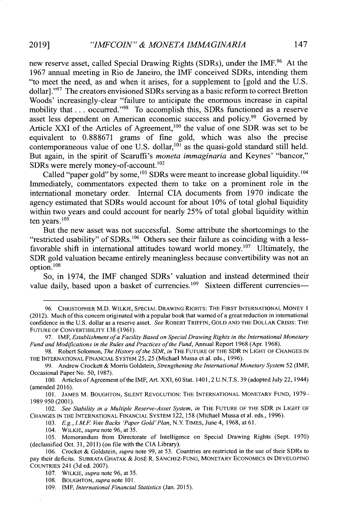new reserve asset, called Special Drawing Rights (SDRs), under the IMF.<sup>96</sup> At the **1967** annual meeting in Rio de Janeiro, the IMF conceived SDRs, intending them "to meet the need, as and when it arises, for a supplement to [gold and the **U.S.** dollar] **."7** The creators envisioned SDRs serving as a basic reform to correct Bretton Woods' increasingly-clear "failure to anticipate the enormous increase in capital mobility that . . . occurred."<sup>98</sup> To accomplish this, SDRs functioned as a reserve asset less dependent on American economic success and policy.<sup>99</sup> Governed by Article XXI of the Articles of Agreement, $100$  the value of one SDR was set to be equivalent to **0.888671** grams of fine gold, which was also the precise contemporaneous value of one U.S. dollar,<sup>101</sup> as the quasi-gold standard still held. But again, in the spirit of Scaruffi's *moneta immaginaria* and Keynes' "bancor," SDRs were merely money-of-account. $102$ 

Called "paper gold" by some,<sup>103</sup> SDRs were meant to increase global liquidity.<sup>104</sup> Immediately, commentators expected them to take on a prominent role in the international monetary order. Internal **CIA** documents from **1970** indicate the agency estimated that SDRs would account for about **10%** of total global liquidity within two years and could account for nearly **25%** of total global liquidity within ten years. $105$ 

But the new asset was not successful. Some attribute the shortcomings to the "restricted usability" of SDRs.<sup>106</sup> Others see their failure as coinciding with a lessfavorable shift in international attitudes toward world money.<sup>107</sup> Ultimately, the SDR gold valuation became entirely meaningless because convertibility was not an option.'<sup>08</sup>

So, in 1974, the IMF changed SDRs' valuation and instead determined their value daily, based upon a basket of currencies.<sup>109</sup> Sixteen different currencies-

*103. E.g., IME Vote Backs 'Paper Gold'Plan,* N.Y. **TIMES,** June 4, **1968,** at **61.**

**<sup>96.</sup>** CHRISTOPHER M.D. WILKIE, **SPECIAL** DRAwING RIGHTS: THE FIRST **INTERNATIONAL** MONEY **<sup>1</sup>** (2012). Much of this concern originated with a popular book that warned of a great reduction in international confidence in the **U.S.** dollar as a reserve asset. *See* ROBERT TRIFFIN, **GOLD AND THE** DOLLAR **CRISIS:** THE **FUTURE** OF CONVERTIBILITY **138 (1961).**

**<sup>97.</sup>** IMF, *Establishment ofa Facility Based on Special Drawing Rights in the International Monetary Fund and Modifications in the Rules and Practices ofthe Fund,* Annual Report **1968** (Apr. **1968).**

**<sup>98.</sup>** Robert Solomon, *The History of the SDR, in* THE **FUTURE** OF THE SDR **IN** LIGHT OF **CHANGES IN** THE **INTERNATIONAL FINANCIAL** SYSTEM **25, 25** (Michael Mussa et al. eds., **1996).**

**<sup>99.</sup>** Andrew Crockett **&** Morris Goldstein, *Strengthening the International Monetary System* **52** (IMF, Occasional Paper No. **50, 1987).**

**<sup>100.</sup>** Articles of Agreement of the IMF, Art. XXI, **60** Stat. 1401, 2 **U.N.T.S. 39** (adopted July 22, 1944) (amended **2016).**

**<sup>101.</sup> JAMES** M. BOUGHTON, **SLENT REVOLUTION:** THE **INTERNATIONAL** MONETARY **FUND, 1979- 1989 950** (2001).

<sup>102.</sup> See Stability in a Multiple Reserve-Asset System, in THE FUTURE OF THE SDR IN LIGHT OF **CHANGES IN** THE **INTERNATIONAL** FINANCIAL SYSTEM **122, 158** (Michael Mussa et al. eds., **1996).**

<sup>104.</sup> WILKIE, *supra* note **96,** at **35.**

**<sup>105.</sup>** Memorandum from Directorate of Intelligence on Special Drawing Rights (Sept. **1970)** (declassified Oct. **31, 2011)** (on file with the **CIA** Library).

**<sup>106.</sup>** Crocket **&** Goldstein, *supra* note **99,** at *53.* Countries are restricted in the use of their SDRs to pay their deficits. SUBRATA GHATAK **&** Jost R. SANCHEZ-FUNG, MONETARY ECONOMICS **IN DEVELOPING** COUNTRIES 241 **(3d** ed. **2007).**

**<sup>107.</sup>** WILKIE, *supra* note **96,** at *35.*

**<sup>108.</sup>** BOUGHTON, *supra* note **101.**

**<sup>109.</sup>** IMF, *International Financial Statistics* **(Jan. 2015).**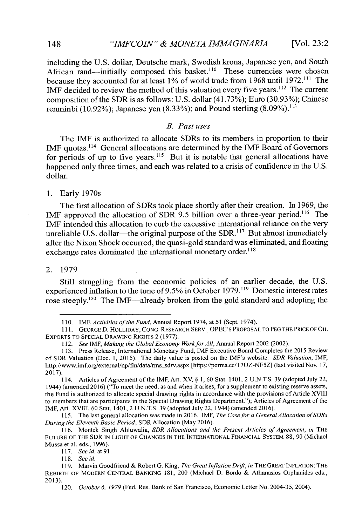including the **U.S.** dollar, Deutsche mark, Swedish krona, Japanese yen, and South African rand—initially composed this basket.<sup>110</sup> These currencies were chosen because they accounted for at least **1%** of world trade from **1968** until **1972. "'** The IMF decided to review the method of this valuation every five years.<sup>112</sup> The current composition of the SDR is as follows: **U.S.** dollar (41.73%); Euro **(30.93%);** Chinese renminbi **(10.92%);** Japanese yen **(8.33%);** and Pound sterling **(8.09%).113**

# *B. Past uses*

The IMF is authorized to allocate SDRs to its members in proportion to their IMF quotas.<sup>114</sup> General allocations are determined by the IMF Board of Governors for periods of up to five years.<sup>115</sup> But it is notable that general allocations have happened only three times, and each was related to a crisis of confidence in the **U.S.** dollar.

**1.** Early 1970s

The first allocation of SDRs took place shortly after their creation. In **1969,** the **IMF** approved the allocation of SDR **9.5** billion over a three-year period."' The IMF intended this allocation to curb the excessive international reliance on the very unreliable U.S. dollar—the original purpose of the SDR.<sup>117</sup> But almost immediately after the Nixon Shock occurred, the quasi-gold standard was eliminated, and floating exchange rates dominated the international monetary order.<sup>118</sup>

#### 2. **1979**

Still struggling from the economic policies of an earlier decade, the **U.S.** experienced inflation to the tune of 9.5% in October 1979.<sup>119</sup> Domestic interest rates rose steeply.<sup>120</sup> The IMF—already broken from the gold standard and adopting the

**<sup>110.</sup>** *IMF, Activities of the Fund,* Annual Report 1974, at **51** (Sept. 1974).

**<sup>111.</sup> GEORGE D.** HOLLIDAY, **CONG.** RESEARCH SERV., OPEC's PROPOSAL TO **PEG** THE PRICE OF OIL EXPORTS TO **SPECIAL DRAWING** RIGHTS 2 **(1977).**

*<sup>112.</sup> See IMF, Making the Global Economy Work for All,* Annual Report 2002 (2002).

**<sup>113.</sup>** Press Release, International Monetary Fund, IMF Executive Board Completes the **2015** Review of SDR Valuation (Dec. **1, 2015).** The daily value is posted on the IMF's website. *SDR Valuation, IMF,* http://www.imf.org/external/np/fin/data/rms\_sdrv.aspx [https://perma.cc/T7UZ-NF5Z] (last visited Nov. 17, **2017).**

<sup>114.</sup> Articles of Agreement of the IMF, Art. XV, **§ 1, 60** Stat. 1401, 2 **U.N.T.S. 39** (adopted July 22, 1944) (amended **2016)** ("To meet the need, as and when it arises, for a supplement to existing reserve assets, the Fund is authorized to allocate special drawing rights in accordance with the provisions of Article XVIII to members that are participants in the Special Drawing Rights Department."); Articles of Agreement of the IMF, Art. XVIII, **60** Stat. 1401, 2 **U.N.T.S. 39** (adopted July 22, 1944) (amended **2016).**

**<sup>115.</sup>** The last general allocation was made in **2016.** IMF, *The Case for a General Allocation ofSDRs During the Eleventh Basic Period,* SDR Allocation (May **2016).**

**<sup>116.</sup>** Montek Singh Ahluwalia, *SDR Allocations and the Present Articles of Agreement, in* THE **FUTURE** OF THE SDR **IN** LIGHT OF **CHANGES IN** THE **INTERNATIONAL** FINANCIAL SYSTEM **88, 90** (Michael Mussa et al. eds., **1996).**

*<sup>117.</sup> See id. at* **91.**

*<sup>118.</sup> See id.*

**<sup>119.</sup>** Marvin Goodfriend **&** Robert **G.** King, *The Great Inflation Drift, in* THE **GREAT INFLATION:** THE REBIRTH OF MODERN **CENTRAL BANKING 181,** 200 (Michael **D.** Bordo **&** Athanasios Orphanides eds., **2013).**

*<sup>120.</sup> October 6, 1979* (Fed. Res. Bank of San Francisco, Economic Letter No. 2004-35, 2004).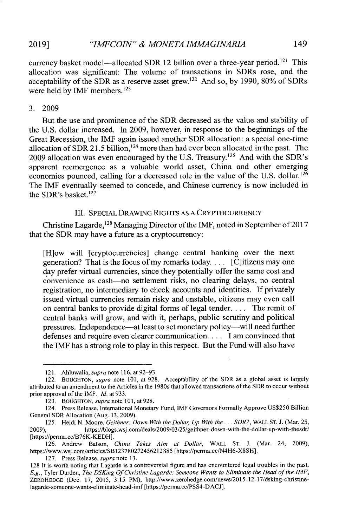currency basket model—allocated SDR 12 billion over a three-year period.<sup>121</sup> This allocation was significant: The volume of transactions in SDRs rose, and the acceptability of the SDR as a reserve asset grew.12 2 And so, **by 1990, 80%** of SDRs were held by IMF members.<sup>123</sup>

#### **3. 2009**

But the use and prominence of the SDR decreased as the value and stability of the **U.S.** dollar increased. In **2009,** however, in response to the beginnings of the Great Recession, the IMF again issued another SDR allocation: a special one-time allocation of SDR 21.5 billion,<sup>124</sup> more than had ever been allocated in the past. The 2009 allocation was even encouraged by the U.S. Treasury.<sup>125</sup> And with the SDR's apparent reemergence as a valuable world asset, China and other emerging economies pounced, calling for a decreased role in the value of the U.S. dollar.<sup>126</sup> The IMF eventually seemed to concede, and Chinese currency is now included in the SDR's basket. $127$ 

## III. **SPECIAL** DRAWING RIGHTS **AS A** CRYPTOCURRENCY

Christine Lagarde,128 Managing Director of the IMF, noted in September of **2017** that the SDR may have a future as a cryptocurrency:

[H]ow will [cryptocurrencies] change central banking over the next generation? That is the focus of my remarks today. . **..** [C]itizens may one day prefer virtual currencies, since they potentially offer the same cost and convenience as cash-no settlement risks, no clearing delays, no central registration, no intermediary to check accounts and identities. **If** privately issued virtual currencies remain risky and unstable, citizens may even call on central banks to provide digital forms of legal tender. **. . .** The remit of central banks will grow, and with it, perhaps, public scrutiny and political pressures. Independence—at least to set monetary policy—will need further defenses and require even clearer communication.. **.. I** am convinced that the IMF has a strong role to play in this respect. But the Fund will also have

**127.** Press Release, *supra* note **13.**

**<sup>121.</sup>** Ahluwalia, *supra* note **116,** at **92-93.**

<sup>122.</sup> BOUGHTON, *supra note* **101,** at **928.** Acceptability of the SDR as a global asset is largely attributed to an amendment to the Articles in the 1980s that allowed transactions of the SDR to occur without prior approval of the IMF. *Id.* at **933.**

**<sup>123.</sup> BOUGHTON,** *supra note* **101,** at 928.

<sup>124.</sup> Press Release, International Monetary Fund, **IMF** Governors Formally Approve **US\$250** Billion General SDR Allocation (Aug. **13, 2009).**

**<sup>125.</sup>** Heidi **N.** Moore, *Geithner: Down With the Dollar Up With the ... SDR?,* WALL **ST. J.** (Mar. **25, 2009),** https://blogs.wsj.com/deals/2009/03/25/geithner-down-with-the-dollar-up-with-thesdr/ [https://perma.cc/B76K-KEDH].

**<sup>126.</sup>** Andrew Batson, *China Takes Aim at Dollar,* WALL **ST. J.** (Mar. 24, **2009),** https://www.wsj.com/articles/SB123780272456212885 [https://perma.cc/N4H6-X8SH].

**<sup>128</sup>** It is worth noting that Lagarde is a controversial figure and has encountered legal troubles in the past. *E.g.,* Tyler Durden, *The DSKing Of Christine Lagarde: Someone Wants to Eliminate the Head of the IMF,* ZEROHEDGE (Dec. **17, 2015, 3:15** PM), http://www.zerohedge.com/news/2015-12-17/dsking-christinelagarde-someone-wants-eliminate-head-imf [https://perma.cc/PSS4-DACJ].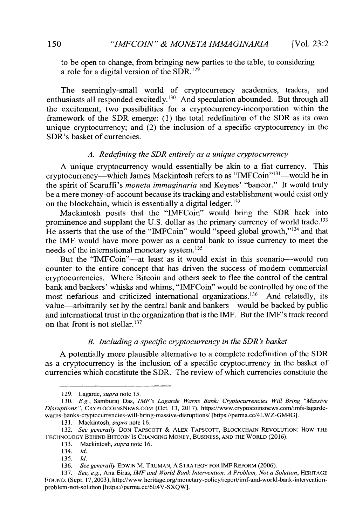to be open to change, from bringing new parties to the table, to considering a role for a digital version of the SDR. <sup>12</sup><sup>9</sup>

The seemingly-small world of cryptocurrency academics, traders, and enthusiasts all responded excitedly.<sup>130</sup> And speculation abounded. But through all the excitement, two possibilities for a cryptocurrency-incorporation within the framework of the SDR emerge: **(1)** the total redefinition of the SDR as its own unique cryptocurrency; and (2) the inclusion of a specific cryptocurrency in the SDR's basket of currencies.

#### *A. Redefining the SDR entirely as a unique cryptocurrency*

**A** unique cryptocurrency would essentially be akin to a fiat currency. This cryptocurrency—which James Mackintosh refers to as "IMFCoin"<sup>131</sup>—would be in the spirit of Scaruffi's *moneta immaginaria* and Keynes' "bancor." It would truly be a mere money-of-account because its tracking and establishment would exist only on the blockchain, which is essentially a digital ledger.<sup>132</sup>

Mackintosh posits that the "IMFCoin" would bring the SDR back into prominence and supplant the U.S. dollar as the primary currency of world trade.<sup>133</sup> He asserts that the use of the "IMFCoin" would "speed global growth,"<sup>134</sup> and that the IMF would have more power as a central bank to issue currency to meet the needs of the international monetary system.<sup>135</sup>

But the "IMFCoin"-at least as it would exist **in** this scenario-would run counter to the entire concept that has driven the success of modem commercial cryptocurrencies. Where Bitcoin and others seek to flee the control of the central bank and bankers' whisks and whims, "IMFCoin" would be controlled by one of the most nefarious and criticized international organizations.<sup>136</sup> And relatedly, its value-arbitrarily set **by** the central bank and bankers-would be backed **by** public and international trust in the organization that is the IMF. But the IMF's track record on that front is not stellar. $137$ 

## *B. Including a specific cryptocurrency in the SDR* ' *basket*

**A** potentially more plausible alternative to a complete redefinition of the SDR as a cryptocurrency is the inclusion of a specific cryptocurrency in the basket of currencies which constitute the SDR. The review of which currencies constitute the

**<sup>129.</sup>** Lagarde, *supra note* **15.**

*<sup>130.</sup> E.g.,* Samburaj Das, *IMF's Lagarde Warns Bank: Cryptocurrencies Will Bring "Massive Disruptions",* CRYPTOCOINSNEWS.COM (Oct. **13, 2017),** https://www.cryptocoinsnews.com/imfs-lagardewarns-banks-cryptocurrencies-will-bring-massive-disruptions/ [https://perma.cc/4LWZ-GM4G].

**<sup>131.</sup>** Mackintosh, *supra* note **16.**

*<sup>132.</sup> See generally* **DON** TAPscOTr **&** ALEX **TAPSCOTT, BLOCKCHAIN REVOLUTION:** HOW **THE TECHNOLOGY** BEHIND **BITCOIN IS CHANGING MONEY,** BusINEss, **AND** THE WORLD **(2016).**

**<sup>133.</sup>** Mackintosh, *supra* note **16.**

<sup>134.</sup> *Id.*

*<sup>135.</sup> Id.*

*<sup>136.</sup> See generally* **EDWIN** M. **TRUMAN, A** STRATEGY FOR IMF REFORM **(2006).**

**<sup>137.</sup>** *See, e.g.,* Ana Eiras, *IMF and World Bank Intervention: A Problem, Not a Solution,* HERITAGE FOUND. (Sept. 17,2003), http://www.heritage.org/monetary-policy/report/imf-and-world-bank-interventionproblem-not-solution [https://perma.cc/6E4V-SXQW].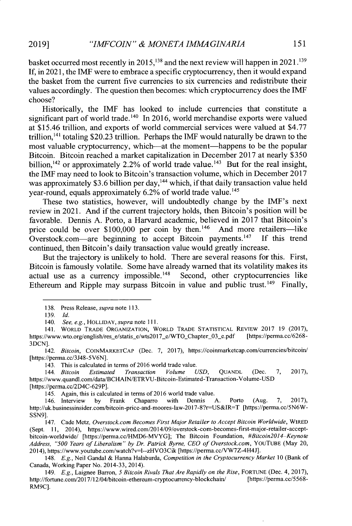basket occurred most recently in **2015,1'3** and the next review will happen in **2021.139 If,** in **2021,** the **IMF** were to embrace a specific cryptocurrency, then it would expand the basket from the current five currencies to six currencies and redistribute their values accordingly. The question then becomes: which cryptocurrency does the IMF choose?

Historically, the IMF has looked to include currencies that constitute a significant part of world trade.<sup>140</sup> In 2016, world merchandise exports were valued at \$15.46 trillion, and exports of world commercial services were valued at **\$4.77** trillion, <sup>14</sup> 1 totaling **\$20.23** trillion. Perhaps the IMF would naturally be drawn to the most valuable cryptocurrency, which-at the moment-happens to be the popular Bitcoin. Bitcoin reached a market capitalization in December **2017** at nearly **\$350** billion,  $142$  or approximately 2.2% of world trade value.<sup>143</sup> But for the real insight, the IMF may need to look to Bitcoin's transaction volume, which in December **2017** was approximately \$3.6 billion per day,<sup>144</sup> which, if that daily transaction value held year-round, equals approximately 6.2% of world trade value.<sup>145</sup>

These two statistics, however, will undoubtedly change **by** the IMF's next review in 2021. **And** if the current trajectory holds, then Bitcoin's position will be favorable. Dennis **A.** Porto, a Harvard academic, believed in **2017** that Bitcoin's price could be over  $$100,000$  per coin by then.<sup>146</sup> And more retailers-like Overstock.com—are beginning to accept Bitcoin payments.<sup>147</sup> If this trend continued, then Bitcoin's daily transaction value would greatly increase.

But the trajectory is unlikely to hold. There are several reasons for this. First, Bitcoin is famously volatile. Some have already warned that its volatility makes its actual use as a currency impossible.<sup>148</sup> Second, other cryptocurrencies like Ethereum and Ripple may surpass Bitcoin in value and public trust.<sup>149</sup> Finally,

143. This is calculated in terms of **2016** world trade value.

*145.* Again, this is calculated in terms of **2016** world trade value.

**<sup>138.</sup>** Press Release, *supra* note **113.**

**<sup>139.</sup>** *Id.*

*<sup>140.</sup> See, e.g.,* HOLLIDAY, *supra* note **111.**

**<sup>141.</sup> WORLD TRADE ORGANIZATION, WORLD TRADE STATISTICAL REvIEw 2017 19 (2017),** https://www.wto.org/english/res\_e/statis\_e/wts2017\_e/WTO\_Chapter\_03\_e.pdf **3DCN].**

*<sup>142.</sup> Bitcoin,* COINMARKETCAP (Dec. **7, 2017),** https://coinmarketcap.com/currencies/bitcoin/ [https://perma.cc/3J48-5V6N].

*<sup>144.</sup> Bitcoin Estimated Transaction Volume USD,* **QUANDL** (Dec. **7, 2017),** https://www.quandl.com/data/BCHAIN/ETRVU-Bitcoin-Estimated-Transaction-Volume-USD [https://perma.cc/2D4C-629P].

<sup>146.</sup> Interview **by** Frank Chaparro with Dennis **A.** Porto (Aug. **7, 2017),** http://uk.businessinsider.com/bitcoin-price-and-moores-law-2017-8?r-US&IR=T [https://perma.cc/5N6W-**SSN9].**

<sup>147.</sup> Cade Metz, *Overstock.com Becomes First Major Retailer to Accept Bitcoin Worldwide,* WIRED (Sept. **11,** 2014), https://www.wired.com/2014/09/overstock-com-becomes-first-major-retailer-acceptbitcoin-worldwide/ [https://perma.cc/HMD6-MVYG]; The Bitcoin Foundation, *#Bitcoin2014-Keynote Address, "500 Years of Liberalism" by Dr. Patrick Byrne,* **CEO** of Overstock.com, YOUTUBE (May 20, 2014), https://www.youtube.com/watch?v=1--zHVO3Cik [https://perma.cc/VW7Z-4H4J].

<sup>148.</sup> *E.g.,* Neil Gandal **&** Hanna Halaburda, *Competition in the Cryptocurrency Market 10* (Bank of Canada, Working Paper No. 2014-33, 2014).

<sup>149.</sup> **E.g.,** Laignee Barron, *5 Bitcoin Rivals That Are Rapidly on the Rise,* **FORTUNE** (Dec. 4, **2017),** http://fortune.com/2017/12/04/bitcoin-ethereum-cryptocurrency-blockchain/ RM9C].